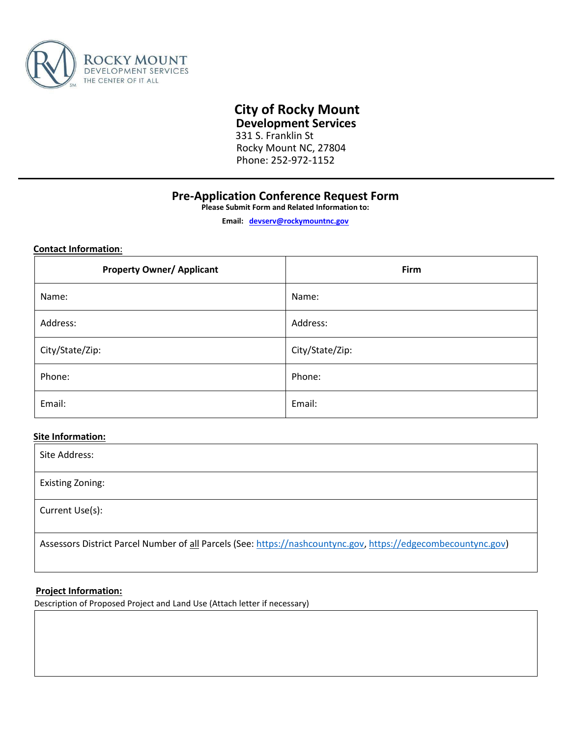

# **City of Rocky Mount**

 **Development Services**

331 S. Franklin St Rocky Mount NC, 27804 Phone: 252-972-1152

# **Pre-Application Conference Request Form**

**Please Submit Form and Related Information to:** 

**Email: devserv@rockymountnc.gov**

**Contact Information**:

| <b>Property Owner/ Applicant</b> | Firm            |
|----------------------------------|-----------------|
| Name:                            | Name:           |
| Address:                         | Address:        |
| City/State/Zip:                  | City/State/Zip: |
| Phone:                           | Phone:          |
| Email:                           | Email:          |

## **Site Information:**

| Site Address:                                                                                                  |
|----------------------------------------------------------------------------------------------------------------|
| Existing Zoning:                                                                                               |
| Current Use(s):                                                                                                |
| Assessors District Parcel Number of all Parcels (See: https://nashcountync.gov, https://edgecombecountync.gov) |

### **Project Information:**

Description of Proposed Project and Land Use (Attach letter if necessary)